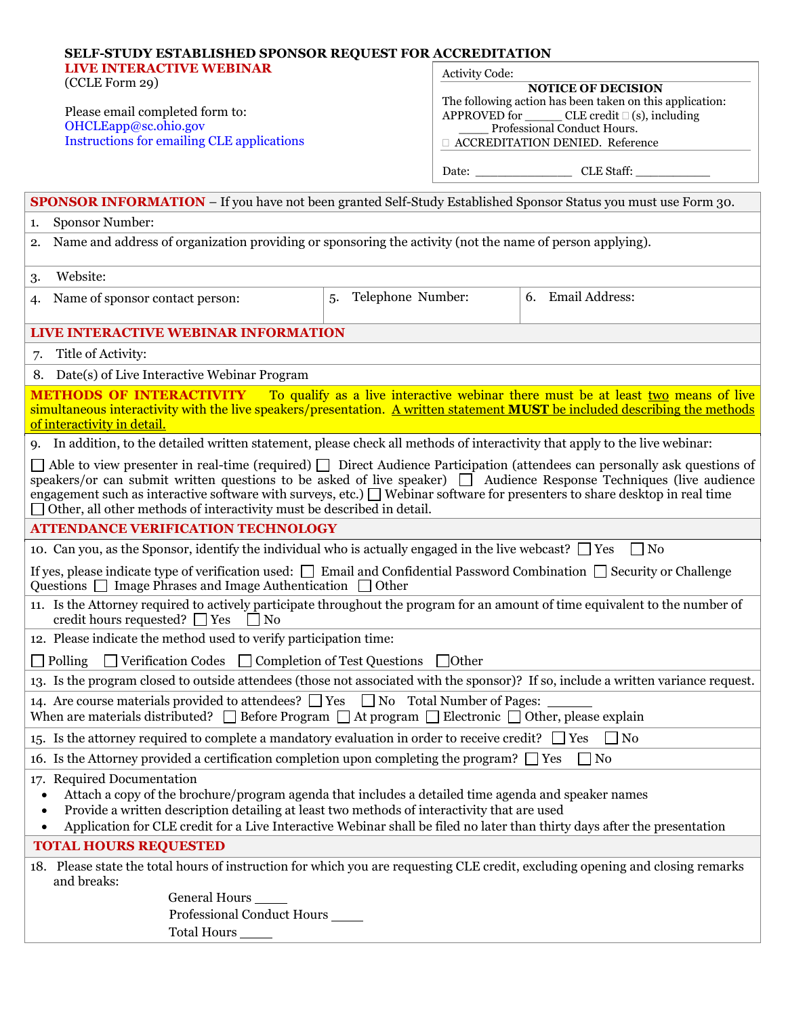| <b>SELF-STUDY ESTABLISHED SPONSOR REQUEST FOR ACCREDITATION</b>                                                                                                                                                                                                                                                                                                    |                         |                                                                                                                                              |                   |
|--------------------------------------------------------------------------------------------------------------------------------------------------------------------------------------------------------------------------------------------------------------------------------------------------------------------------------------------------------------------|-------------------------|----------------------------------------------------------------------------------------------------------------------------------------------|-------------------|
| <b>LIVE INTERACTIVE WEBINAR</b><br>(CCLE Form 29)<br>Please email completed form to:<br>OHCLEapp@sc.ohio.gov                                                                                                                                                                                                                                                       |                         | <b>Activity Code:</b>                                                                                                                        |                   |
|                                                                                                                                                                                                                                                                                                                                                                    |                         | <b>NOTICE OF DECISION</b>                                                                                                                    |                   |
|                                                                                                                                                                                                                                                                                                                                                                    |                         | The following action has been taken on this application:<br>APPROVED for ________ CLE credit □ (s), including<br>Professional Conduct Hours. |                   |
|                                                                                                                                                                                                                                                                                                                                                                    |                         |                                                                                                                                              |                   |
|                                                                                                                                                                                                                                                                                                                                                                    |                         |                                                                                                                                              |                   |
|                                                                                                                                                                                                                                                                                                                                                                    |                         |                                                                                                                                              | Date: CLE Staff:  |
| <b>SPONSOR INFORMATION</b> – If you have not been granted Self-Study Established Sponsor Status you must use Form 30.                                                                                                                                                                                                                                              |                         |                                                                                                                                              |                   |
| <b>Sponsor Number:</b><br>1.                                                                                                                                                                                                                                                                                                                                       |                         |                                                                                                                                              |                   |
| Name and address of organization providing or sponsoring the activity (not the name of person applying).<br>2.                                                                                                                                                                                                                                                     |                         |                                                                                                                                              |                   |
| Website:<br>3.                                                                                                                                                                                                                                                                                                                                                     |                         |                                                                                                                                              |                   |
| Name of sponsor contact person:<br>4.                                                                                                                                                                                                                                                                                                                              | Telephone Number:<br>5. |                                                                                                                                              | 6. Email Address: |
| LIVE INTERACTIVE WEBINAR INFORMATION                                                                                                                                                                                                                                                                                                                               |                         |                                                                                                                                              |                   |
| Title of Activity:<br>7.                                                                                                                                                                                                                                                                                                                                           |                         |                                                                                                                                              |                   |
| 8. Date(s) of Live Interactive Webinar Program                                                                                                                                                                                                                                                                                                                     |                         |                                                                                                                                              |                   |
| <b>METHODS OF INTERACTIVITY</b> To qualify as a live interactive webinar there must be at least two means of live                                                                                                                                                                                                                                                  |                         |                                                                                                                                              |                   |
| simultaneous interactivity with the live speakers/presentation. A written statement <b>MUST</b> be included describing the methods<br>of interactivity in detail.                                                                                                                                                                                                  |                         |                                                                                                                                              |                   |
| 9. In addition, to the detailed written statement, please check all methods of interactivity that apply to the live webinar:                                                                                                                                                                                                                                       |                         |                                                                                                                                              |                   |
| $\Box$ Able to view presenter in real-time (required) $\Box$ Direct Audience Participation (attendees can personally ask questions of                                                                                                                                                                                                                              |                         |                                                                                                                                              |                   |
| speakers/or can submit written questions to be asked of live speaker) □ Audience Response Techniques (live audience<br>engagement such as interactive software with surveys, etc.) $\Box$ Webinar software for presenters to share desktop in real time<br>$\Box$ Other, all other methods of interactivity must be described in detail.                           |                         |                                                                                                                                              |                   |
| <b>ATTENDANCE VERIFICATION TECHNOLOGY</b>                                                                                                                                                                                                                                                                                                                          |                         |                                                                                                                                              |                   |
| 10. Can you, as the Sponsor, identify the individual who is actually engaged in the live webcast? $\Box$ Yes<br>$\Box$ No                                                                                                                                                                                                                                          |                         |                                                                                                                                              |                   |
| If yes, please indicate type of verification used: $\Box$ Email and Confidential Password Combination $\Box$ Security or Challenge<br>Questions $\Box$ Image Phrases and Image Authentication $\Box$ Other                                                                                                                                                         |                         |                                                                                                                                              |                   |
| 11. Is the Attorney required to actively participate throughout the program for an amount of time equivalent to the number of<br>credit hours requested? $\Box$ Yes $\Box$ No                                                                                                                                                                                      |                         |                                                                                                                                              |                   |
| 12. Please indicate the method used to verify participation time:                                                                                                                                                                                                                                                                                                  |                         |                                                                                                                                              |                   |
| $\Box$ Verification Codes $\Box$ Completion of Test Questions $\Box$ Other<br>$\Box$ Polling                                                                                                                                                                                                                                                                       |                         |                                                                                                                                              |                   |
| 13. Is the program closed to outside attendees (those not associated with the sponsor)? If so, include a written variance request.                                                                                                                                                                                                                                 |                         |                                                                                                                                              |                   |
| 14. Are course materials provided to attendees? $\Box$ Yes $\Box$ No Total Number of Pages:<br>When are materials distributed? $\Box$ Before Program $\Box$ At program $\Box$ Electronic $\Box$ Other, please explain                                                                                                                                              |                         |                                                                                                                                              |                   |
| 15. Is the attorney required to complete a mandatory evaluation in order to receive credit? $\Box$ Yes<br>$\Box$ No                                                                                                                                                                                                                                                |                         |                                                                                                                                              |                   |
| 16. Is the Attorney provided a certification completion upon completing the program? $\Box$ Yes<br>$\Box$ No                                                                                                                                                                                                                                                       |                         |                                                                                                                                              |                   |
| 17. Required Documentation<br>Attach a copy of the brochure/program agenda that includes a detailed time agenda and speaker names<br>Provide a written description detailing at least two methods of interactivity that are used<br>٠<br>Application for CLE credit for a Live Interactive Webinar shall be filed no later than thirty days after the presentation |                         |                                                                                                                                              |                   |
| <b>TOTAL HOURS REQUESTED</b>                                                                                                                                                                                                                                                                                                                                       |                         |                                                                                                                                              |                   |
| 18. Please state the total hours of instruction for which you are requesting CLE credit, excluding opening and closing remarks<br>and breaks:                                                                                                                                                                                                                      |                         |                                                                                                                                              |                   |
| General Hours _                                                                                                                                                                                                                                                                                                                                                    |                         |                                                                                                                                              |                   |
| Professional Conduct Hours                                                                                                                                                                                                                                                                                                                                         |                         |                                                                                                                                              |                   |
| <b>Total Hours</b>                                                                                                                                                                                                                                                                                                                                                 |                         |                                                                                                                                              |                   |